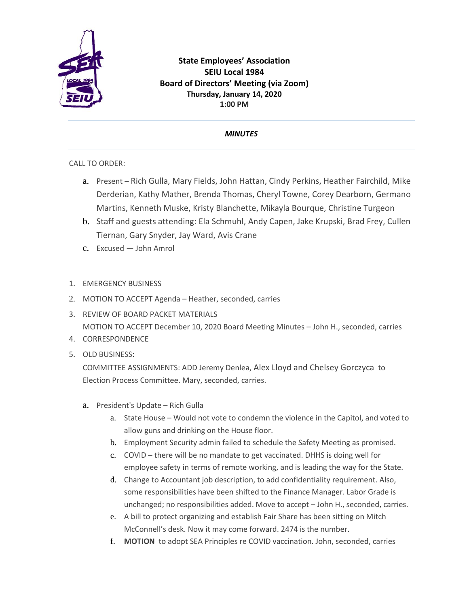

## **State Employees' Association SEIU Local 1984 Board of Directors' Meeting (via Zoom) Thursday, January 14, 2020 1:00 PM**

## *MINUTES*

CALL TO ORDER:

- a. Present Rich Gulla, Mary Fields, John Hattan, Cindy Perkins, Heather Fairchild, Mike Derderian, Kathy Mather, Brenda Thomas, Cheryl Towne, Corey Dearborn, Germano Martins, Kenneth Muske, Kristy Blanchette, Mikayla Bourque, Christine Turgeon
- b. Staff and guests attending: Ela Schmuhl, Andy Capen, Jake Krupski, Brad Frey, Cullen Tiernan, Gary Snyder, Jay Ward, Avis Crane
- c. Excused John Amrol
- 1. EMERGENCY BUSINESS
- 2. MOTION TO ACCEPT Agenda Heather, seconded, carries
- 3. REVIEW OF BOARD PACKET MATERIALS MOTION TO ACCEPT December 10, 2020 Board Meeting Minutes – John H., seconded, carries
- 4. CORRESPONDENCE
- 5. OLD BUSINESS:

COMMITTEE ASSIGNMENTS: ADD Jeremy Denlea, Alex Lloyd and Chelsey Gorczyca to Election Process Committee. Mary, seconded, carries.

- a. President's Update Rich Gulla
	- a. State House Would not vote to condemn the violence in the Capitol, and voted to allow guns and drinking on the House floor.
	- b. Employment Security admin failed to schedule the Safety Meeting as promised.
	- c. COVID there will be no mandate to get vaccinated. DHHS is doing well for employee safety in terms of remote working, and is leading the way for the State.
	- d. Change to Accountant job description, to add confidentiality requirement. Also, some responsibilities have been shifted to the Finance Manager. Labor Grade is unchanged; no responsibilities added. Move to accept – John H., seconded, carries.
	- e. A bill to protect organizing and establish Fair Share has been sitting on Mitch McConnell's desk. Now it may come forward. 2474 is the number.
	- f. **MOTION** to adopt SEA Principles re COVID vaccination. John, seconded, carries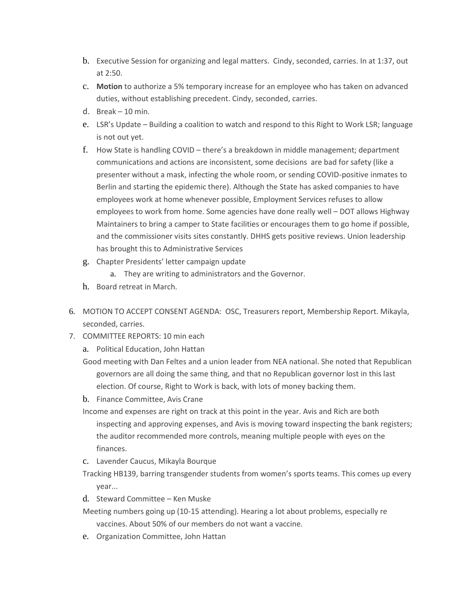- b. Executive Session for organizing and legal matters. Cindy, seconded, carries. In at 1:37, out at 2:50.
- c. **Motion** to authorize a 5% temporary increase for an employee who has taken on advanced duties, without establishing precedent. Cindy, seconded, carries.
- d. Break 10 min.
- e. LSR's Update Building a coalition to watch and respond to this Right to Work LSR; language is not out yet.
- f. How State is handling COVID there's a breakdown in middle management; department communications and actions are inconsistent, some decisions are bad for safety (like a presenter without a mask, infecting the whole room, or sending COVID-positive inmates to Berlin and starting the epidemic there). Although the State has asked companies to have employees work at home whenever possible, Employment Services refuses to allow employees to work from home. Some agencies have done really well – DOT allows Highway Maintainers to bring a camper to State facilities or encourages them to go home if possible, and the commissioner visits sites constantly. DHHS gets positive reviews. Union leadership has brought this to Administrative Services
- g. Chapter Presidents' letter campaign update
	- a. They are writing to administrators and the Governor.
- h. Board retreat in March.
- 6. MOTION TO ACCEPT CONSENT AGENDA: OSC, Treasurers report, Membership Report. Mikayla, seconded, carries.
- 7. COMMITTEE REPORTS: 10 min each
	- a. Political Education, John Hattan
	- Good meeting with Dan Feltes and a union leader from NEA national. She noted that Republican governors are all doing the same thing, and that no Republican governor lost in this last election. Of course, Right to Work is back, with lots of money backing them.
	- b. Finance Committee, Avis Crane
	- Income and expenses are right on track at this point in the year. Avis and Rich are both inspecting and approving expenses, and Avis is moving toward inspecting the bank registers; the auditor recommended more controls, meaning multiple people with eyes on the finances.
	- c. Lavender Caucus, Mikayla Bourque
	- Tracking HB139, barring transgender students from women's sports teams. This comes up every year...
	- d. Steward Committee Ken Muske
	- Meeting numbers going up (10-15 attending). Hearing a lot about problems, especially re vaccines. About 50% of our members do not want a vaccine.
	- e. Organization Committee, John Hattan